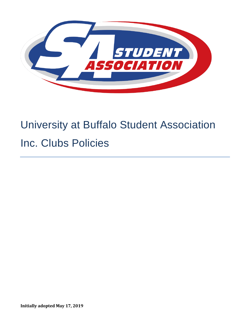

# University at Buffalo Student Association Inc. Clubs Policies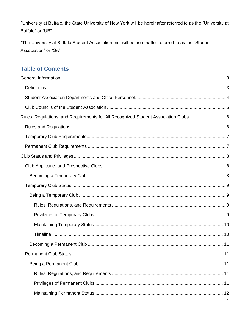\*University at Buffalo, the State University of New York will be hereinafter referred to as the "University at Buffalo" or "UB"

\*The University at Buffalo Student Association Inc. will be hereinafter referred to as the "Student Association" or "SA"

## **Table of Contents**

| Rules, Regulations, and Requirements for All Recognized Student Association Clubs |  |
|-----------------------------------------------------------------------------------|--|
|                                                                                   |  |
|                                                                                   |  |
|                                                                                   |  |
|                                                                                   |  |
|                                                                                   |  |
|                                                                                   |  |
|                                                                                   |  |
|                                                                                   |  |
|                                                                                   |  |
|                                                                                   |  |
|                                                                                   |  |
|                                                                                   |  |
|                                                                                   |  |
|                                                                                   |  |
|                                                                                   |  |
|                                                                                   |  |
|                                                                                   |  |
|                                                                                   |  |
|                                                                                   |  |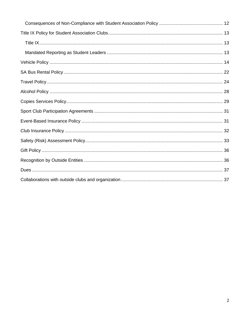<span id="page-2-0"></span>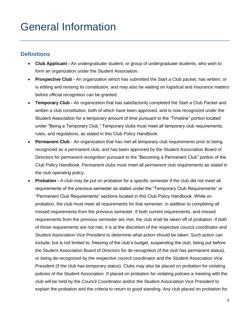## General Information

#### <span id="page-3-0"></span>**Definitions**

- **Club Applicant -** An undergraduate student, or group of undergraduate students, who wish to form an organization under the Student Association.
- **Prospective Club -** An organization which has submitted the Start a Club packet, has written, or is editing and revising its constitution, and may also be waiting on logistical and insurance matters before official recognition can be granted.
- **Temporary Club -** An organization that has satisfactorily completed the Start a Club Packet and written a club constitution, both of which have been approved, and is now recognized under the Student Association for a temporary amount of time pursuant to the "Timeline" portion located under "Being a Temporary Club." Temporary clubs must meet all temporary club requirements, rules, and regulations, as stated in this Club Policy Handbook.
- **Permanent Club** An organization that has met all temporary club requirements prior to being recognized as a permanent club, and has been approved by the Student Association Board of Directors for permanent recognition pursuant to the "Becoming a Permanent Club" portion of the Club Policy Handbook. Permanent clubs must meet all permanent club requirements as stated in the club operating policy.
- **Probation -** A club may be put on probation for a specific semester if the club did not meet all requirements of the previous semester as stated under the "Temporary Club Requirements" or "Permanent Club Requirements" sections located in this Club Policy Handbook. While on probation, the club must meet all requirements for that semester, in addition to completing all missed requirements from the previous semester. If both current requirements, and missed requirements from the previous semester are met, the club shall be taken off of probation. If both of those requirements are not met, it is at the discretion of the respective council coordinator and Student Association Vice President to determine what action should be taken. Such action can include, but is not limited to, freezing of the club's budget, suspending the club, being put before the Student Association Board of Directors for de-recognition (if the club has permanent status), or being de-recognized by the respective council coordinator and the Student Association Vice President (if the club has temporary status). Clubs may also be placed on probation for violating policies of the Student Association. If placed on probation for violating policies a meeting with the club will be held by the Council Coordinator and/or the Student Association Vice President to explain the probation and the criteria to return to good standing. Any club placed on probation for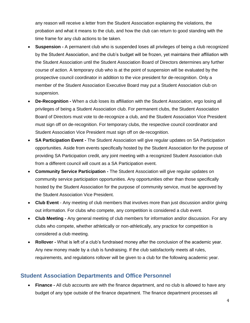any reason will receive a letter from the Student Association explaining the violations, the probation and what it means to the club, and how the club can return to good standing with the time frame for any club actions to be taken.

- **Suspension -** A permanent club who is suspended loses all privileges of being a club recognized by the Student Association, and the club's budget will be frozen, yet maintains their affiliation with the Student Association until the Student Association Board of Directors determines any further course of action. A temporary club who is at the point of suspension will be evaluated by the prospective council coordinator in addition to the vice president for de-recognition. Only a member of the Student Association Executive Board may put a Student Association club on suspension.
- **De-Recognition -** When a club loses its affiliation with the Student Association, ergo losing all privileges of being a Student Association club. For permanent clubs, the Student Association Board of Directors must vote to de-recognize a club, and the Student Association Vice President must sign off on de-recognition. For temporary clubs, the respective council coordinator and Student Association Vice President must sign off on de-recognition.
- **SA Participation Event -** The Student Association will give regular updates on SA Participation opportunities. Aside from events specifically hosted by the Student Association for the purpose of providing SA Participation credit, any joint meeting with a recognized Student Association club from a different council will count as a SA Participation event.
- **Community Service Participation -** The Student Association will give regular updates on community service participation opportunities. Any opportunities other than those specifically hosted by the Student Association for the purpose of community service, must be approved by the Student Association Vice President.
- **Club Event**  Any meeting of club members that involves more than just discussion and/or giving out information. For clubs who compete, any competition is considered a club event.
- **Club Meeting -** Any general meeting of club members for information and/or discussion. For any clubs who compete, whether athletically or non-athletically, any practice for competition is considered a club meeting.
- **Rollover -** What is left of a club's fundraised money after the conclusion of the academic year. Any new money made by a club is fundraising. If the club satisfactorily meets all rules, requirements, and regulations rollover will be given to a club for the following academic year.

#### <span id="page-4-0"></span>**Student Association Departments and Office Personnel**

• **Finance -** All club accounts are with the finance department, and no club is allowed to have any budget of any type outside of the finance department. The finance department processes all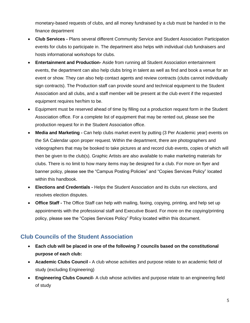monetary-based requests of clubs, and all money fundraised by a club must be handed in to the finance department

- **Club Services -** Plans several different Community Service and Student Association Participation events for clubs to participate in. The department also helps with individual club fundraisers and hosts informational workshops for clubs.
- **Entertainment and Production-** Aside from running all Student Association entertainment events, the department can also help clubs bring in talent as well as find and book a venue for an event or show. They can also help contact agents and review contracts (clubs cannot individually sign contracts). The Production staff can provide sound and technical equipment to the Student Association and all clubs, and a staff member will be present at the club event if the requested equipment requires her/him to be.
- Equipment must be reserved ahead of time by filling out a production request form in the Student Association office. For a complete list of equipment that may be rented out, please see the production request for in the Student Association office.
- **Media and Marketing -** Can help clubs market event by putting (3 Per Academic year) events on the SA Calendar upon proper request. Within the department, there are photographers and videographers that may be booked to take pictures at and record club events, copies of which will then be given to the club(s). Graphic Artists are also available to make marketing materials for clubs. There is no limit to how many items may be designed for a club. For more on flyer and banner policy, please see the "Campus Posting Policies" and "Copies Services Policy" located within this handbook.
- **Elections and Credentials -** Helps the Student Association and its clubs run elections, and resolves election disputes.
- **Office Staff -** The Office Staff can help with mailing, faxing, copying, printing, and help set up appointments with the professional staff and Executive Board. For more on the copying/printing policy, please see the "Copies Services Policy" Policy located within this document.

### <span id="page-5-0"></span>**Club Councils of the Student Association**

- **Each club will be placed in one of the following 7 councils based on the constitutional purpose of each club:**
- **Academic Clubs Council -** A club whose activities and purpose relate to an academic field of study (excluding Engineering)
- **Engineering Clubs Council-** A club whose activities and purpose relate to an engineering field of study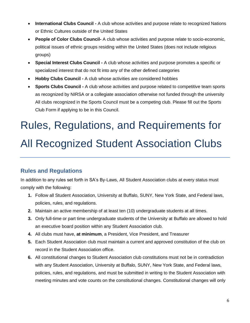- **International Clubs Council** A club whose activities and purpose relate to recognized Nations or Ethnic Cultures outside of the United States
- **People of Color Clubs Council-** A club whose activities and purpose relate to socio-economic, political issues of ethnic groups residing within the United States (does not include religious groups)
- **Special Interest Clubs Council -** A club whose activities and purpose promotes a specific or specialized interest that do not fit into any of the other defined categories
- **Hobby Clubs Council -** A club whose activities are considered hobbies
- **Sports Clubs Council -** A club whose activities and purpose related to competitive team sports as recognized by NIRSA or a collegiate association otherwise not funded through the university All clubs recognized in the Sports Council must be a competing club. Please fill out the Sports Club Form if applying to be in this Council.

# <span id="page-6-0"></span>Rules, Regulations, and Requirements for All Recognized Student Association Clubs

## <span id="page-6-1"></span>**Rules and Regulations**

In addition to any rules set forth in SA's By-Laws, All Student Association clubs at every status must comply with the following:

- **1.** Follow all Student Association, University at Buffalo, SUNY, New York State, and Federal laws, policies, rules, and regulations.
- **2.** Maintain an active membership of at least ten (10) undergraduate students at all times.
- **3.** Only full-time or part time undergraduate students of the University at Buffalo are allowed to hold an executive board position within any Student Association club.
- **4.** All clubs must have, **at minimum**, a President, Vice President, and Treasurer
- **5.** Each Student Association club must maintain a current and approved constitution of the club on record in the Student Association office.
- **6.** All constitutional changes to Student Association club constitutions must not be in contradiction with any Student Association, University at Buffalo, SUNY, New York State, and Federal laws, policies, rules, and regulations, and must be submitted in writing to the Student Association with meeting minutes and vote counts on the constitutional changes. Constitutional changes will only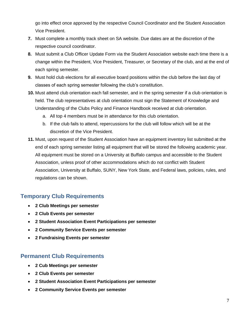go into effect once approved by the respective Council Coordinator and the Student Association Vice President.

- **7.** Must complete a monthly track sheet on SA website. Due dates are at the discretion of the respective council coordinator.
- **8.** Must submit a Club Officer Update Form via the Student Association website each time there is a change within the President, Vice President, Treasurer, or Secretary of the club, and at the end of each spring semester.
- **9.** Must hold club elections for all executive board positions within the club before the last day of classes of each spring semester following the club's constitution.
- **10.** Must attend club orientation each fall semester, and in the spring semester if a club orientation is held. The club representatives at club orientation must sign the Statement of Knowledge and Understanding of the Clubs Policy and Finance Handbook received at club orientation.
	- a. All top 4 members must be in attendance for this club orientation.
	- b. If the club fails to attend, repercussions for the club will follow which will be at the discretion of the Vice President.
- **11.** Must, upon request of the Student Association have an equipment inventory list submitted at the end of each spring semester listing all equipment that will be stored the following academic year. All equipment must be stored on a University at Buffalo campus and accessible to the Student Association, unless proof of other accommodations which do not conflict with Student Association, University at Buffalo, SUNY, New York State, and Federal laws, policies, rules, and regulations can be shown.

### <span id="page-7-0"></span>**Temporary Club Requirements**

- **2 Club Meetings per semester**
- **2 Club Events per semester**
- **2 Student Association Event Participations per semester**
- **2 Community Service Events per semester**
- **2 Fundraising Events per semester**

#### <span id="page-7-1"></span>**Permanent Club Requirements**

- **2 Cub Meetings per semester**
- **2 Club Events per semester**
- **2 Student Association Event Participations per semester**
- **2 Community Service Events per semester**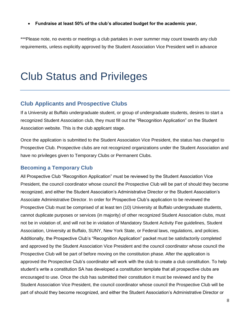• **Fundraise at least 50% of the club's allocated budget for the academic year,** 

<span id="page-8-0"></span>\*\*\*Please note, no events or meetings a club partakes in over summer may count towards any club requirements, unless explicitly approved by the Student Association Vice President well in advance

## Club Status and Privileges

#### <span id="page-8-1"></span>**Club Applicants and Prospective Clubs**

If a University at Buffalo undergraduate student, or group of undergraduate students, desires to start a recognized Student Association club, they must fill out the "Recognition Application" on the Student Association website. This is the club applicant stage.

Once the application is submitted to the Student Association Vice President, the status has changed to Prospective Club. Prospective clubs are not recognized organizations under the Student Association and have no privileges given to Temporary Clubs or Permanent Clubs.

#### <span id="page-8-2"></span>**Becoming a Temporary Club**

All Prospective Club "Recognition Application" must be reviewed by the Student Association Vice President, the council coordinator whose council the Prospective Club will be part of should they become recognized, and either the Student Association's Administrative Director or the Student Association's Associate Administrative Director. In order for Prospective Club's application to be reviewed the Prospective Club must be comprised of at least ten (10) University at Buffalo undergraduate students, cannot duplicate purposes or services (in majority) of other recognized Student Association clubs, must not be in violation of, and will not be in violation of Mandatory Student Activity Fee guidelines, Student Association, University at Buffalo, SUNY, New York State, or Federal laws, regulations, and policies. Additionally, the Prospective Club's "Recognition Application" packet must be satisfactorily completed and approved by the Student Association Vice President and the council coordinator whose council the Prospective Club will be part of before moving on the constitution phase. After the application is approved the Prospective Club's coordinator will work with the club to create a club constitution. To help student's write a constitution SA has developed a constitution template that all prospective clubs are encouraged to use. Once the club has submitted their constitution it must be reviewed and by the Student Association Vice President, the council coordinator whose council the Prospective Club will be part of should they become recognized, and either the Student Association's Administrative Director or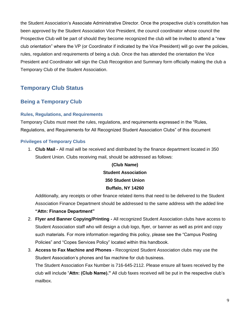the Student Association's Associate Administrative Director. Once the prospective club's constitution has been approved by the Student Association Vice President, the council coordinator whose council the Prospective Club will be part of should they become recognized the club will be invited to attend a "new club orientation" where the VP (or Coordinator if indicated by the Vice President) will go over the policies, rules, regulation and requirements of being a club. Once the has attended the orientation the Vice President and Coordinator will sign the Club Recognition and Summary form officially making the club a Temporary Club of the Student Association.

### <span id="page-9-0"></span>**Temporary Club Status**

#### <span id="page-9-1"></span>**Being a Temporary Club**

#### <span id="page-9-2"></span>**Rules, Regulations, and Requirements**

Temporary Clubs must meet the rules, regulations, and requirements expressed in the "Rules, Regulations, and Requirements for All Recognized Student Association Clubs" of this document

#### <span id="page-9-3"></span>**Privileges of Temporary Clubs**

1. **Club Mail -** All mail will be received and distributed by the finance department located in 350 Student Union. Clubs receiving mail, should be addressed as follows:

## **(Club Name) Student Association 350 Student Union Buffalo, NY 14260**

Additionally, any receipts or other finance related items that need to be delivered to the Student Association Finance Department should be addressed to the same address with the added line

- **"Attn: Finance Department"**
- 2. **Flyer and Banner Copying/Printing -** All recognized Student Association clubs have access to Student Association staff who will design a club logo, flyer, or banner as well as print and copy such materials. For more information regarding this policy, please see the "Campus Posting Policies" and "Copes Services Policy" located within this handbook.
- 3. **Access to Fax Machine and Phones -** Recognized Student Association clubs may use the Student Association's phones and fax machine for club business. The Student Association Fax Number is 716-645-2112. Please ensure all faxes received by the club will include "**Attn: (Club Name)."** All club faxes received will be put in the respective club's mailbox.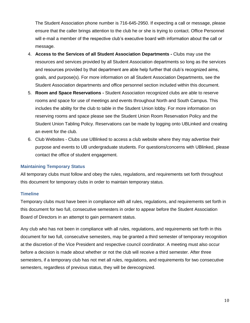The Student Association phone number is 716-645-2950. If expecting a call or message, please ensure that the caller brings attention to the club he or she is trying to contact. Office Personnel will e-mail a member of the respective club's executive board with information about the call or message.

- 4. **Access to the Services of all Student Association Departments -** Clubs may use the resources and services provided by all Student Association departments so long as the services and resources provided by that department are able help further that club's recognized aims, goals, and purpose(s). For more information on all Student Association Departments, see the Student Association departments and office personnel section included within this document.
- 5. **Room and Space Reservations -** Student Association recognized clubs are able to reserve rooms and space for use of meetings and events throughout North and South Campus. This includes the ability for the club to table in the Student Union lobby. For more information on reserving rooms and space please see the Student Union Room Reservation Policy and the Student Union Tabling Policy. Reservations can be made by logging onto UBLinked and creating an event for the club.
- 6. Club Websites Clubs use UBlinked to access a club website where they may advertise their purpose and events to UB undergraduate students. For questions/concerns with UBlinked, please contact the office of student engagement.

#### <span id="page-10-0"></span>**Maintaining Temporary Status**

All temporary clubs must follow and obey the rules, regulations, and requirements set forth throughout this document for temporary clubs in order to maintain temporary status.

#### <span id="page-10-1"></span>**Timeline**

Temporary clubs must have been in compliance with all rules, regulations, and requirements set forth in this document for two full, consecutive semesters in order to appear before the Student Association Board of Directors in an attempt to gain permanent status.

Any club who has not been in compliance with all rules, regulations, and requirements set forth in this document for two full, consecutive semesters, may be granted a third semester of temporary recognition at the discretion of the Vice President and respective council coordinator. A meeting must also occur before a decision is made about whether or not the club will receive a third semester. After three semesters, if a temporary club has not met all rules, regulations, and requirements for two consecutive semesters, regardless of previous status, they will be derecognized.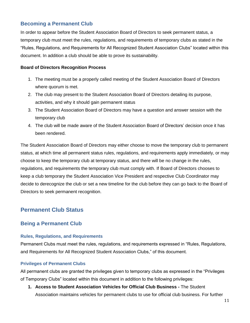#### <span id="page-11-0"></span>**Becoming a Permanent Club**

In order to appear before the Student Association Board of Directors to seek permanent status, a temporary club must meet the rules, regulations, and requirements of temporary clubs as stated in the "Rules, Regulations, and Requirements for All Recognized Student Association Clubs" located within this document. In addition a club should be able to prove its sustainability.

#### **Board of Directors Recognition Process**

- 1. The meeting must be a properly called meeting of the Student Association Board of Directors where quorum is met.
- 2. The club may present to the Student Association Board of Directors detailing its purpose, activities, and why it should gain permanent status
- 3. The Student Association Board of Directors may have a question and answer session with the temporary club
- 4. The club will be made aware of the Student Association Board of Directors' decision once it has been rendered.

The Student Association Board of Directors may either choose to move the temporary club to permanent status, at which time all permanent status rules, regulations, and requirements apply immediately, or may choose to keep the temporary club at temporary status, and there will be no change in the rules, regulations, and requirements the temporary club must comply with. If Board of Directors chooses to keep a club temporary the Student Association Vice President and respective Club Coordinator may decide to derecognize the club or set a new timeline for the club before they can go back to the Board of Directors to seek permanent recognition.

#### <span id="page-11-1"></span>**Permanent Club Status**

#### <span id="page-11-2"></span>**Being a Permanent Club**

#### <span id="page-11-3"></span>**Rules, Regulations, and Requirements**

Permanent Clubs must meet the rules, regulations, and requirements expressed in "Rules, Regulations, and Requirements for All Recognized Student Association Clubs," of this document.

#### <span id="page-11-4"></span>**Privileges of Permanent Clubs**

All permanent clubs are granted the privileges given to temporary clubs as expressed in the "Privileges of Temporary Clubs" located within this document in addition to the following privileges:

**1. Access to Student Association Vehicles for Official Club Business -** The Student Association maintains vehicles for permanent clubs to use for official club business. For further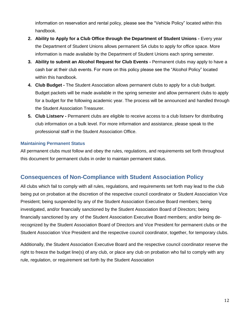information on reservation and rental policy, please see the "Vehicle Policy" located within this handbook.

- **2. Ability to Apply for a Club Office through the Department of Student Unions -** Every year the Department of Student Unions allows permanent SA clubs to apply for office space. More information is made available by the Department of Student Unions each spring semester.
- **3. Ability to submit an Alcohol Request for Club Events -** Permanent clubs may apply to have a cash bar at their club events. For more on this policy please see the "Alcohol Policy" located within this handbook.
- **4. Club Budget -** The Student Association allows permanent clubs to apply for a club budget. Budget packets will be made available in the spring semester and allow permanent clubs to apply for a budget for the following academic year. The process will be announced and handled through the Student Association Treasurer.
- **5. Club Listserv -** Permanent clubs are eligible to receive access to a club listserv for distributing club information on a bulk level. For more information and assistance, please speak to the professional staff in the Student Association Office.

#### <span id="page-12-0"></span>**Maintaining Permanent Status**

All permanent clubs must follow and obey the rules, regulations, and requirements set forth throughout this document for permanent clubs in order to maintain permanent status.

#### <span id="page-12-1"></span>**Consequences of Non-Compliance with Student Association Policy**

All clubs which fail to comply with all rules, regulations, and requirements set forth may lead to the club being put on probation at the discretion of the respective council coordinator or Student Association Vice President; being suspended by any of the Student Association Executive Board members; being investigated, and/or financially sanctioned by the Student Association Board of Directors; being financially sanctioned by any of the Student Association Executive Board members; and/or being derecognized by the Student Association Board of Directors and Vice President for permanent clubs or the Student Association Vice President and the respective council coordinator, together, for temporary clubs.

Additionally, the Student Association Executive Board and the respective council coordinator reserve the right to freeze the budget line(s) of any club, or place any club on probation who fail to comply with any rule, regulation, or requirement set forth by the Student Association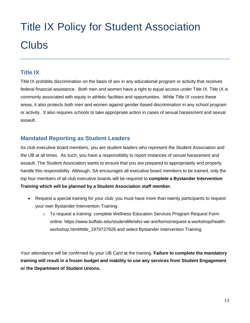# <span id="page-13-0"></span>Title IX Policy for Student Association **Clubs**

## <span id="page-13-1"></span>**Title IX**

Title IX prohibits discrimination on the basis of sex in any educational program or activity that receives federal financial assistance. Both men and women have a right to equal access under Title IX. Title IX is commonly associated with equity in athletic facilities and opportunities. While Title IX covers these areas, it also protects both men and women against gender-based discrimination in any school program or activity. It also requires schools to take appropriate action in cases of sexual harassment and sexual assault.

### <span id="page-13-2"></span>**Mandated Reporting as Student Leaders**

As club executive board members, you are student leaders who represent the Student Association and the UB at all times. As such, you have a responsibility to report instances of sexual harassment and assault. The Student Association wants to ensure that you are prepared to appropriately and properly handle this responsibility. Although, SA encourages all executive board members to be trained, only the top four members of all club executive boards will be required to **complete a Bystander Intervention Training which will be planned by a Student Association staff member.** 

- Request a special training for your club; you must have more than twenty participants to request your own Bystander Intervention Training.
	- $\circ$  To request a training: complete Wellness Education Services Program Request Form online: https://www.buffalo.edu/studentlife/who-we-are/forms/request-a-workshop/healthworkshop.html#title\_1979727926 and select Bystander Intervention Training.

Your attendance will be confirmed by your UB Card at the training. **Failure to complete the mandatory training will result in a frozen budget and inability to use any services from Student Engagement or the Department of Student Unions.**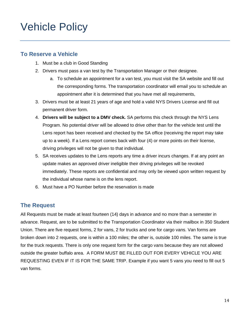## <span id="page-14-0"></span>Vehicle Policy

### **To Reserve a Vehicle**

- 1. Must be a club in Good Standing
- 2. Drivers must pass a van test by the Transportation Manager or their designee.
	- a. To schedule an appointment for a van test, you must visit the SA website and fill out the corresponding forms. The transportation coordinator will email you to schedule an appointment after it is determined that you have met all requirements,
- 3. Drivers must be at least 21 years of age and hold a valid NYS Drivers License and fill out permanent driver form.
- 4. **Drivers will be subject to a DMV check.** SA performs this check through the NYS Lens Program. No potential driver will be allowed to drive other than for the vehicle test until the Lens report has been received and checked by the SA office (receiving the report may take up to a week). If a Lens report comes back with four (4) or more points on their license, driving privileges will not be given to that individual.
- 5. SA receives updates to the Lens reports any time a driver incurs changes. If at any point an update makes an approved driver ineligible their driving privileges will be revoked immediately. These reports are confidential and may only be viewed upon written request by the individual whose name is on the lens report.
- 6. Must have a PO Number before the reservation is made

### **The Request**

All Requests must be made at least fourteen (14) days in advance and no more than a semester in advance. Request, are to be submitted to the Transportation Coordinator via their mailbox in 350 Student Union. There are five request forms, 2 for vans, 2 for trucks and one for cargo vans. Van forms are broken down into 2 requests, one is within a 100 miles; the other is, outside 100 miles. The same is true for the truck requests. There is only one request form for the cargo vans because they are not allowed outside the greater buffalo area. A FORM MUST BE FILLED OUT FOR EVERY VEHICLE YOU ARE REQUESTING EVEN IF IT IS FOR THE SAME TRIP. Example if you want 5 vans you need to fill out 5 van forms.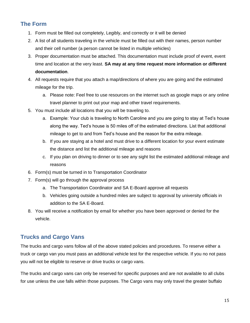## **The Form**

- 1. Form must be filled out completely, Legibly, and correctly or it will be denied
- 2. A list of all students traveling in the vehicle must be filled out with their names, person number and their cell number (a person cannot be listed in multiple vehicles)
- 3. Proper documentation must be attached. This documentation must include proof of event, event time and location at the very least. **SA may at any time request more information or different documentation**.
- 4. All requests require that you attach a map/directions of where you are going and the estimated mileage for the trip.
	- a. Please note: Feel free to use resources on the internet such as google maps or any online travel planner to print out your map and other travel requirements.
- 5. You must include all locations that you will be traveling to.
	- a. Example: Your club is traveling to North Caroline and you are going to stay at Ted's house along the way. Ted's house is 50 miles off of the estimated directions. List that additional mileage to get to and from Ted's house and the reason for the extra mileage.
	- b. If you are staying at a hotel and must drive to a different location for your event estimate the distance and list the additional mileage and reasons
	- c. If you plan on driving to dinner or to see any sight list the estimated additional mileage and reasons
- 6. Form(s) must be turned in to Transportation Coordinator
- 7. Form(s) will go through the approval process
	- a. The Transportation Coordinator and SA E-Board approve all requests
	- b. Vehicles going outside a hundred miles are subject to approval by university officials in addition to the SA E-Board.
- 8. You will receive a notification by email for whether you have been approved or denied for the vehicle.

## **Trucks and Cargo Vans**

The trucks and cargo vans follow all of the above stated policies and procedures. To reserve either a truck or cargo van you must pass an additional vehicle test for the respective vehicle. If you no not pass you will not be eligible to reserve or drive trucks or cargo vans.

The trucks and cargo vans can only be reserved for specific purposes and are not available to all clubs for use unless the use falls within those purposes. The Cargo vans may only travel the greater buffalo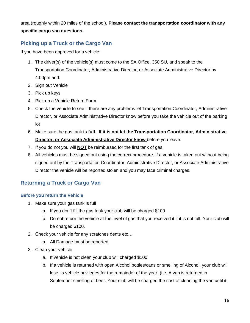area (roughly within 20 miles of the school). **Please contact the transportation coordinator with any specific cargo van questions.** 

### **Picking up a Truck or the Cargo Van**

If you have been approved for a vehicle:

- 1. The driver(s) of the vehicle(s) must come to the SA Office, 350 SU, and speak to the Transportation Coordinator, Administrative Director, or Associate Administrative Director by 4:00pm and:
- 2. Sign out Vehicle
- 3. Pick up keys
- 4. Pick up a Vehicle Return Form
- 5. Check the vehicle to see if there are any problems let Transportation Coordinator, Administrative Director, or Associate Administrative Director know before you take the vehicle out of the parking lot
- 6. Make sure the gas tank **is full. If it is not let the Transportation Coordinator, Administrative Director, or Associate Administrative Director know** before you leave.
- 7. If you do not you will **NOT** be reimbursed for the first tank of gas.
- 8. All vehicles must be signed out using the correct procedure. If a vehicle is taken out without being signed out by the Transportation Coordinator, Administrative Director, or Associate Administrative Director the vehicle will be reported stolen and you may face criminal charges.

#### **Returning a Truck or Cargo Van**

#### **Before you return the Vehicle**

- 1. Make sure your gas tank is full
	- a. If you don't fill the gas tank your club will be charged \$100
	- b. Do not return the vehicle at the level of gas that you received it if it is not full. Your club will be charged \$100.
- 2. Check your vehicle for any scratches dents etc…
	- a. All Damage must be reported
- 3. Clean your vehicle
	- a. If vehicle is not clean your club will charged \$100
	- b. If a vehicle is returned with open Alcohol bottles/cans or smelling of Alcohol, your club will lose its vehicle privileges for the remainder of the year. (i.e. A van is returned in September smelling of beer. Your club will be charged the cost of cleaning the van until it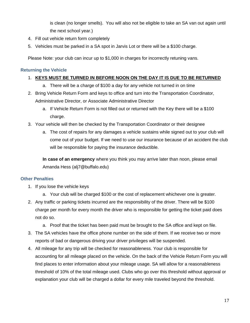is clean (no longer smells). You will also not be eligible to take an SA van out again until the next school year.)

- 4. Fill out vehicle return form completely
- 5. Vehicles must be parked in a SA spot in Jarvis Lot or there will be a \$100 charge.

Please Note: your club can incur up to \$1,000 in charges for incorrectly retuning vans.

#### **Returning the Vehicle**

#### 1. **KEYS MUST BE TURNED IN BEFORE NOON ON THE DAY IT IS DUE TO BE RETURNED**

- a. There will be a charge of \$100 a day for any vehicle not turned in on time
- 2. Bring Vehicle Return Form and keys to office and turn into the Transportation Coordinator, Administrative Director, or Associate Administrative Director
	- a. If Vehicle Return Form is not filled out or returned with the Key there will be a \$100 charge.
- 3. Your vehicle will then be checked by the Transportation Coordinator or their designee
	- a. The cost of repairs for any damages a vehicle sustains while signed out to your club will come out of your budget. If we need to use our insurance because of an accident the club will be responsible for paying the insurance deductible.

**In case of an emergency** where you think you may arrive later than noon, please email Amanda Hess (alj7@buffalo.edu)

#### **Other Penalties**

- 1. If you lose the vehicle keys
	- a. Your club will be charged \$100 or the cost of replacement whichever one is greater.
- 2. Any traffic or parking tickets incurred are the responsibility of the driver. There will be \$100 charge per month for every month the driver who is responsible for getting the ticket paid does not do so.
	- a. Proof that the ticket has been paid must be brought to the SA office and kept on file.
- 3. The SA vehicles have the office phone number on the side of them. If we receive two or more reports of bad or dangerous driving your driver privileges will be suspended.
- 4. All mileage for any trip will be checked for reasonableness. Your club is responsible for accounting for all mileage placed on the vehicle. On the back of the Vehicle Return Form you will find places to enter information about your mileage usage. SA will allow for a reasonableness threshold of 10% of the total mileage used. Clubs who go over this threshold without approval or explanation your club will be charged a dollar for every mile traveled beyond the threshold.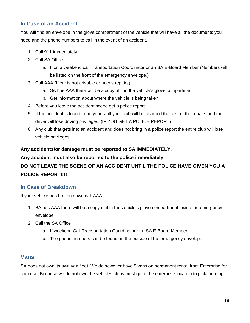#### **In Case of an Accident**

You will find an envelope in the glove compartment of the vehicle that will have all the documents you need and the phone numbers to call in the event of an accident.

- 1. Call 911 immediately
- 2. Call SA Office
	- a. If on a weekend call Transportation Coordinator or an SA E-Board Member (Numbers will be listed on the front of the emergency envelope.)
- 3. Call AAA (If car is not drivable or needs repairs)
	- a. SA has AAA there will be a copy of it in the vehicle's glove compartment
	- b. Get information about where the vehicle is being taken.
- 4. Before you leave the accident scene get a police report
- 5. If the accident is found to be your fault your club will be charged the cost of the repairs and the driver will lose driving privileges. (IF YOU GET A POLICE REPORT)
- 6. Any club that gets into an accident and does not bring in a police report the entire club will lose vehicle privileges.

#### **Any accidents/or damage must be reported to SA IMMEDIATELY.**

## **Any accident must also be reported to the police immediately. DO NOT LEAVE THE SCENE OF AN ACCIDENT UNTIL THE POLICE HAVE GIVEN YOU A POLICE REPORT!!!!**

#### **In Case of Breakdown**

If your vehicle has broken down call AAA

- 1. SA has AAA there will be a copy of it in the vehicle's glove compartment inside the emergency envelope
- 2. Call the SA Office
	- a. If weekend Call Transportation Coordinator or a SA E-Board Member
	- b. The phone numbers can be found on the outside of the emergency envelope

#### **Vans**

SA does not own its own van fleet. We do however have 8 vans on permanent rental from Enterprise for club use. Because we do not own the vehicles clubs must go to the enterprise location to pick them up.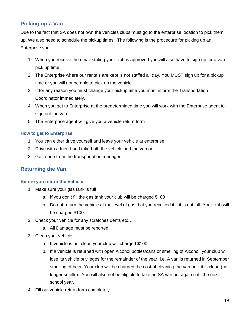#### **Picking up a Van**

Due to the fact that SA does not own the vehicles clubs must go to the enterprise location to pick them up. We also need to schedule the pickup times. The following is the procedure for picking up an Enterprise van.

- 1. When you receive the email stating your club is approved you will also have to sign up for a van pick up time.
- 2. The Enterprise where our rentals are kept is not staffed all day. You MUST sign up for a pickup time or you will not be able to pick up the vehicle.
- 3. If for any reason you must change your pickup time you must inform the Transportation Coordinator immediately.
- 4. When you get to Enterprise at the predetermined time you will work with the Enterprise agent to sign out the van.
- 5. The Enterprise agent will give you a vehicle return form

#### **How to get to Enterprise**

- 1. You can either drive yourself and leave your vehicle at enterprise
- 2. Drive with a friend and take both the vehicle and the van or
- 3. Get a ride from the transportation manager.

#### **Returning the Van**

#### **Before you return the Vehicle**

- 1. Make sure your gas tank is full
	- a. If you don't fill the gas tank your club will be charged \$100
	- b. Do not return the vehicle at the level of gas that you received it if it is not full. Your club will be charged \$100.
- 2. Check your vehicle for any scratches dents etc…
	- a. All Damage must be reported
- 3. Clean your vehicle
	- a. If vehicle is not clean your club will charged \$100
	- b. If a vehicle is returned with open Alcohol bottles/cans or smelling of Alcohol, your club will lose its vehicle privileges for the remainder of the year. i.e. A van is returned in September smelling of beer. Your club will be charged the cost of cleaning the van until it is clean (no longer smells). You will also not be eligible to take an SA van out again until the next school year.
- 4. Fill out vehicle return form completely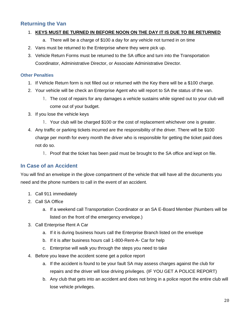#### **Returning the Van**

#### 1. **KEYS MUST BE TURNED IN BEFORE NOON ON THE DAY IT IS DUE TO BE RETURNED**

- a. There will be a charge of \$100 a day for any vehicle not turned in on time
- 2. Vans must be returned to the Enterprise where they were pick up.
- 3. Vehicle Return Forms must be returned to the SA office and turn into the Transportation Coordinator, Administrative Director, or Associate Administrative Director.

#### **Other Penalties**

- 1. If Vehicle Return form is not filled out or returned with the Key there will be a \$100 charge.
- 2. Your vehicle will be check an Enterprise Agent who will report to SA the status of the van.
	- 1. The cost of repairs for any damages a vehicle sustains while signed out to your club will come out of your budget.
- 3. If you lose the vehicle keys
	- 1. Your club will be charged \$100 or the cost of replacement whichever one is greater.
- 4. Any traffic or parking tickets incurred are the responsibility of the driver. There will be \$100 charge per month for every month the driver who is responsible for getting the ticket paid does not do so.
	- 1. Proof that the ticket has been paid must be brought to the SA office and kept on file.

#### **In Case of an Accident**

You will find an envelope in the glove compartment of the vehicle that will have all the documents you need and the phone numbers to call in the event of an accident.

- 1. Call 911 immediately
- 2. Call SA Office
	- a. If a weekend call Transportation Coordinator or an SA E-Board Member (Numbers will be listed on the front of the emergency envelope.)
- 3. Call Enterprise Rent A Car
	- a. If it is during business hours call the Enterprise Branch listed on the envelope
	- b. If it is after business hours call 1-800-Rent-A- Car for help
	- c. Enterprise will walk you through the steps you need to take
- 4. Before you leave the accident scene get a police report
	- a. If the accident is found to be your fault SA may assess charges against the club for repairs and the driver will lose driving privileges. (IF YOU GET A POLICE REPORT)
	- b. Any club that gets into an accident and does not bring in a police report the entire club will lose vehicle privileges.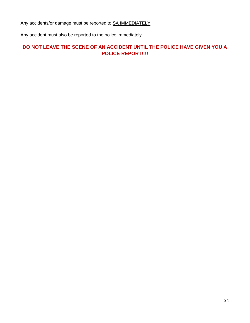Any accidents/or damage must be reported to SA IMMEDIATELY.

Any accident must also be reported to the police immediately.

#### **DO NOT LEAVE THE SCENE OF AN ACCIDENT UNTIL THE POLICE HAVE GIVEN YOU A POLICE REPORT!!!!**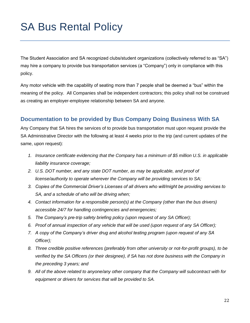## <span id="page-22-0"></span>SA Bus Rental Policy

The Student Association and SA recognized clubs/student organizations (collectively referred to as "SA") may hire a company to provide bus transportation services (a "Company") only in compliance with this policy.

Any motor vehicle with the capability of seating more than 7 people shall be deemed a "bus" within the meaning of the policy. All Companies shall be independent contractors; this policy shall not be construed as creating an employer-employee relationship between SA and anyone.

#### **Documentation to be provided by Bus Company Doing Business With SA**

Any Company that SA hires the services of to provide bus transportation must upon request provide the SA Administrative Director with the following at least 4 weeks prior to the trip (and current updates of the same, upon request):

- *1. Insurance certificate evidencing that the Company has a minimum of \$5 million U.S. in applicable liability insurance coverage;*
- *2. U.S. DOT number, and any state DOT number, as may be applicable, and proof of license/authority to operate wherever the Company will be providing services to SA;*
- *3. Copies of the Commercial Driver's Licenses of all drivers who will/might be providing services to SA, and a schedule of who will be driving when;*
- *4. Contact information for a responsible person(s) at the Company (other than the bus drivers) accessible 24/7 for handling contingencies and emergencies;*
- *5. The Company's pre-trip safety briefing policy (upon request of any SA Officer);*
- *6. Proof of annual inspection of any vehicle that will be used (upon request of any SA Officer);*
- *7. A copy of the Company's driver drug and alcohol testing program (upon request of any SA Officer);*
- *8. Three credible positive references (preferably from other university or not-for-profit groups), to be verified by the SA Officers (or their designee), if SA has not done business with the Company in the preceding 3 years; and*
- *9. All of the above related to anyone/any other company that the Company will subcontract with for equipment or drivers for services that will be provided to SA.*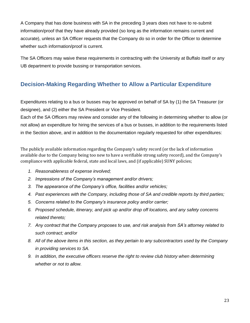A Company that has done business with SA in the preceding 3 years does not have to re-submit information/proof that they have already provided (so long as the information remains current and accurate), unless an SA Officer requests that the Company do so in order for the Officer to determine whether such information/proof is current.

The SA Officers may waive these requirements in contracting with the University at Buffalo itself or any UB department to provide bussing or transportation services.

## **Decision-Making Regarding Whether to Allow a Particular Expenditure**

Expenditures relating to a bus or busses may be approved on behalf of SA by (1) the SA Treasurer (or designee), and (2) either the SA President or Vice President.

Each of the SA Officers may review and consider any of the following in determining whether to allow (or not allow) an expenditure for hiring the services of a bus or busses, in addition to the requirements listed in the Section above, and in addition to the documentation regularly requested for other expenditures:

The publicly available information regarding the Company's safety record (or the lack of information available due to the Company being too new to have a verifiable strong safety record), and the Company's compliance with applicable federal, state and local laws, and (if applicable) SUNY policies;

- *1. Reasonableness of expense involved;*
- *2. Impressions of the Company's management and/or drivers;*
- *3. The appearance of the Company's office, facilities and/or vehicles;*
- *4. Past experiences with the Company, including those of SA and credible reports by third parties;*
- *5. Concerns related to the Company's insurance policy and/or carrier;*
- *6. Proposed schedule, itinerary, and pick up and/or drop off locations, and any safety concerns related thereto;*
- *7. Any contract that the Company proposes to use, and risk analysis from SA's attorney related to such contract; and/or*
- *8. All of the above items in this section, as they pertain to any subcontractors used by the Company in providing services to SA.*
- *9. In addition, the executive officers reserve the right to review club history when determining whether or not to allow.*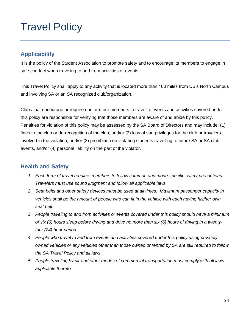## <span id="page-24-0"></span>Travel Policy

### **Applicability**

It is the policy of the Student Association to promote safety and to encourage its members to engage in safe conduct when traveling to and from activities or events.

This Travel Policy shall apply to any activity that is located more than 100 miles from UB's North Campus and involving SA or an SA recognized club/organization.

Clubs that encourage or require one or more members to travel to events and activities covered under this policy are responsible for verifying that those members are aware of and abide by this policy. Penalties for violation of this policy may be assessed by the SA Board of Directors and may include: (1) fines to the club or de-recognition of the club, and/or (2) loss of van privileges for the club or travelers involved in the violation, and/or (3) prohibition on violating students travelling to future SA or SA club events, and/or (4) personal liability on the part of the violator.

### **Health and Safety**

- *1. Each form of travel requires members to follow common and mode-specific safety precautions. Travelers must use sound judgment and follow all applicable laws.*
- *2. Seat belts and other safety devices must be used at all times. Maximum passenger capacity in vehicles shall be the amount of people who can fit in the vehicle with each having his/her own seat belt.*
- *3. People traveling to and from activities or events covered under this policy should have a minimum of six (6) hours sleep before driving and drive no more than six (6) hours of driving in a twentyfour (24) hour period.*
- *4. People who travel to and from events and activities covered under this policy using privately owned vehicles or any vehicles other than those owned or rented by SA are still required to follow the SA Travel Policy and all laws.*
- *5. People traveling by air and other modes of commercial transportation must comply with all laws applicable thereto.*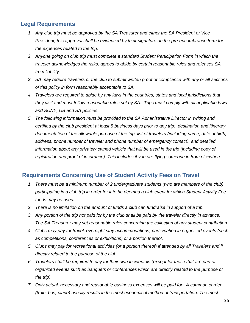### **Legal Requirements**

- *1. Any club trip must be approved by the SA Treasurer and either the SA President or Vice President; this approval shall be evidenced by their signature on the pre-encumbrance form for the expenses related to the trip.*
- *2. Anyone going on club trip must complete a standard Student Participation Form in which the traveler acknowledges the risks, agrees to abide by certain reasonable rules and releases SA from liability.*
- *3. SA may require travelers or the club to submit written proof of compliance with any or all sections of this policy in form reasonably acceptable to SA.*
- *4. Travelers are required to abide by any laws in the countries, states and local jurisdictions that they visit and must follow reasonable rules set by SA. Trips must comply with all applicable laws and SUNY, UB and SA policies.*
- *5. The following information must be provided to the SA Administrative Director in writing and certified by the club president at least 5 business days prior to any trip: destination and itinerary, documentation of the allowable purpose of the trip, list of travelers (including name, date of birth, address, phone number of traveler and phone number of emergency contact), and detailed information about any privately owned vehicle that will be used in the trip (including copy of registration and proof of insurance). This includes if you are flying someone in from elsewhere.*

#### **Requirements Concerning Use of Student Activity Fees on Travel**

- *1. There must be a minimum number of 2 undergraduate students (who are members of the club) participating in a club trip in order for it to be deemed a club event for which Student Activity Fee funds may be used.*
- *2. There is no limitation on the amount of funds a club can fundraise in support of a trip.*
- *3. Any portion of the trip not paid for by the club shall be paid by the traveler directly in advance. The SA Treasurer may set reasonable rules concerning the collection of any student contribution.*
- *4. Clubs may pay for travel, overnight stay accommodations, participation in organized events (such as competitions, conferences or exhibitions) or a portion thereof.*
- *5. Clubs may pay for recreational activities (or a portion thereof) if attended by all Travelers and if directly related to the purpose of the club.*
- *6. Travelers shall be required to pay for their own incidentals (except for those that are part of organized events such as banquets or conferences which are directly related to the purpose of the trip).*
- *7. Only actual, necessary and reasonable business expenses will be paid for. A common carrier (train, bus, plane) usually results in the most economical method of transportation. The most*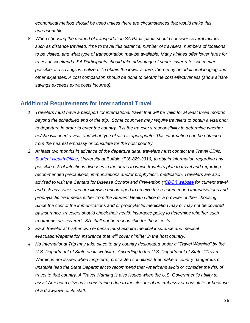*economical method should be used unless there are circumstances that would make this unreasonable.*

*8. When choosing the method of transportation SA Participants should consider several factors, such as distance traveled, time to travel this distance, number of travelers, numbers of locations to be visited, and what type of transportation may be available. Many airlines offer lower fares for travel on weekends. SA Participants should take advantage of super saver rates whenever possible, if a savings is realized. To obtain the lower airfare, there may be additional lodging and other expenses. A cost comparison should be done to determine cost effectiveness (show airfare savings exceeds extra costs incurred).*

#### **Additional Requirements for International Travel**

- *1. Travelers must have a passport for international travel that will be valid for at least three months beyond the scheduled end of the trip. Some countries may require travelers to obtain a visa prior to departure in order to enter the country. It is the traveler's responsibility to determine whether he/she will need a visa, and what type of visa is appropriate. This information can be obtained from the nearest embassy or consulate for the host country.*
- *2. At least two months in advance of the departure date, travelers must contact the Travel Clinic, [Student Health Office,](https://www.buffalo.edu/studentlife/who-we-are/departments/health.html) University at Buffalo (716-829-3316) to obtain information regarding any possible risk of infectious diseases in the areas to which travelers plan to travel and regarding recommended precautions, immunizations and/or prophylactic medication. Travelers are also advised to visit the Centers for Disease Control and Prevention (["CDC"\) website](http://www.cdc.gov/travel/) for current travel and risk advisories and are likewise encouraged to receive the recommended immunizations and prophylactic treatments either from the Student Health Office or a provider of their choosing. Since the cost of the immunizations and or prophylactic medication may or may not be covered by insurance, travelers should check their health insurance policy to determine whether such treatments are covered. SA shall not be responsible for these costs.*
- *3. Each traveler at his/her own expense must acquire medical insurance and medical evacuation/repatriation insurance that will cover him/her in the host country.*
- *4. No International Trip may take place to any country designated under a "Travel Warning" by the U.S. Department of State on its website. According to the U.S. Department of State, "Travel Warnings are issued when long-term, protracted conditions that make a country dangerous or unstable lead the State Department to recommend that Americans avoid or consider the risk of travel to that country. A Travel Warning is also issued when the U.S. Government's ability to assist American citizens is constrained due to the closure of an embassy or consulate or because of a drawdown of its staff."*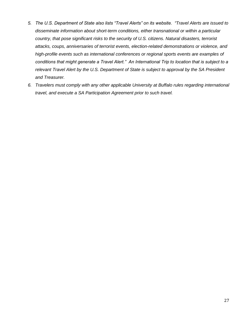- *5. The U.S. Department of State also lists "Travel Alerts" on its website. "Travel Alerts are issued to disseminate information about short-term conditions, either transnational or within a particular country, that pose significant risks to the security of U.S. citizens. Natural disasters, terrorist attacks, coups, anniversaries of terrorist events, election-related demonstrations or violence, and high-profile events such as international conferences or regional sports events are examples of conditions that might generate a Travel Alert." An International Trip to location that is subject to a relevant Travel Alert by the U.S. Department of State is subject to approval by the SA President and Treasurer.*
- *6. Travelers must comply with any other applicable University at Buffalo rules regarding international travel, and execute a SA Participation Agreement prior to such travel.*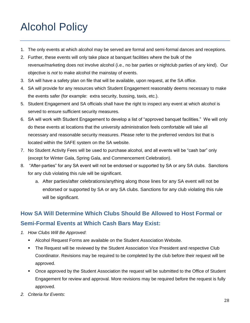## <span id="page-28-0"></span>Alcohol Policy

- 1. The only events at which alcohol may be served are formal and semi-formal dances and receptions.
- 2. Further, these events will only take place at banquet facilities where the bulk of the revenue/marketing does not involve alcohol (i.e., no bar parties or nightclub parties of any kind). Our objective is *not* to make alcohol the mainstay of events.
- 3. SA will have a safety plan on file that will be available, upon request, at the SA office.
- 4. SA will provide for any resources which Student Engagement reasonably deems necessary to make the events safer (for example: extra security, bussing, taxis, etc.).
- 5. Student Engagement and SA officials shall have the right to inspect any event at which alcohol is served to ensure sufficient security measures.
- 6. SA will work with Student Engagement to develop a list of "approved banquet facilities." We will only do these events at locations that the university administration feels comfortable will take all necessary and reasonable security measures. Please refer to the preferred vendors list that is located within the SAFE system on the SA website.
- 7. No Student Activity Fees will be used to purchase alcohol, and all events will be "cash bar" only (except for Winter Gala, Spring Gala, and Commencement Celebration).
- 8. "After-parties" for any SA event will not be endorsed or supported by SA or any SA clubs. Sanctions for any club violating this rule will be significant.
	- a. After parties/after celebrations/anything along those lines for any SA event will not be endorsed or supported by SA or any SA clubs. Sanctions for any club violating this rule will be significant.

## **How SA Will Determine Which Clubs Should Be Allowed to Host Formal or Semi-Formal Events at Which Cash Bars May Exist:**

- *1. How Clubs Will Be Approved*:
	- Alcohol Request Forms are available on the Student Association Website.
	- The Request will be reviewed by the Student Association Vice President and respective Club Coordinator. Revisions may be required to be completed by the club before their request will be approved.
	- Once approved by the Student Association the request will be submitted to the Office of Student Engagement for review and approval. More revisions may be required before the request is fully approved.
- *2. Criteria for Events*: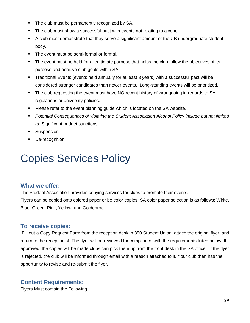- The club must be permanently recognized by SA.
- The club must show a successful past with events not relating to alcohol.
- A club must demonstrate that they serve a significant amount of the UB undergraduate student body.
- The event must be semi-formal or formal.
- The event must be held for a legitimate purpose that helps the club follow the objectives of its purpose and achieve club goals within SA.
- Traditional Events (events held annually for at least 3 years) with a successful past will be considered stronger candidates than newer events. Long-standing events will be prioritized.
- **•** The club requesting the event must have NO recent history of wrongdoing in regards to SA regulations or university policies.
- Please refer to the event planning guide which is located on the SA website.
- *Potential Consequences of violating the Student Association Alcohol Policy include but not limited to:* Significant budget sanctions
- **Suspension**
- De-recognition

## <span id="page-29-0"></span>Copies Services Policy

#### **What we offer:**

The Student Association provides copying services for clubs to promote their events.

Flyers can be copied onto colored paper or be color copies. SA color paper selection is as follows: White, Blue, Green, Pink, Yellow, and Goldenrod.

#### **To receive copies:**

Fill out a Copy Request Form from the reception desk in 350 Student Union, attach the original flyer, and return to the receptionist. The flyer will be reviewed for compliance with the requirements listed below. If approved, the copies will be made clubs can pick them up from the front desk in the SA office. If the flyer is rejected, the club will be informed through email with a reason attached to it. Your club then has the opportunity to revise and re-submit the flyer.

#### **Content Requirements:**

Flyers Must contain the Following: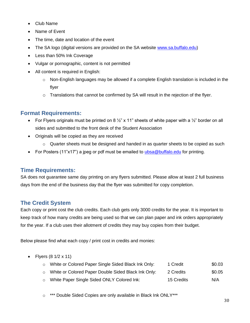- Club Name
- Name of Event
- The time, date and location of the event
- The SA logo (digital versions are provided on the SA website [www.sa.buffalo.edu\)](http://www.sa.buffalo.edu/)
- Less than 50% Ink Coverage
- Vulgar or pornographic, content is not permitted
- All content is required in English:
	- $\circ$  Non-English languages may be allowed if a complete English translation is included in the flyer
	- $\circ$  Translations that cannot be confirmed by SA will result in the rejection of the flyer.

#### **Format Requirements:**

- For Flyers originals must be printed on 8  $\frac{1}{2}$ " x 11" sheets of white paper with a  $\frac{1}{2}$ " border on all sides and submitted to the front desk of the Student Association
- Originals will be copied as they are received
	- $\circ$  Quarter sheets must be designed and handed in as quarter sheets to be copied as such
- For Posters (11"x17") a jpeg or pdf must be emailed to [ubsa@buffalo.edu](mailto:ubsa@buffalo.edu) for printing.

#### **Time Requirements:**

SA does not guarantee same day printing on any flyers submitted. Please allow at least 2 full business days from the end of the business day that the flyer was submitted for copy completion.

#### **The Credit System**

Each copy or print cost the club credits. Each club gets only 3000 credits for the year. It is important to keep track of how many credits are being used so that we can plan paper and ink orders appropriately for the year. If a club uses their allotment of credits they may buy copies from their budget.

Below please find what each copy / print cost in credits and monies:

• Flyers  $(8 \frac{1}{2} \times 11)$ 

| o White or Colored Paper Single Sided Black Ink Only: | 1 Credit   | \$0.03 |
|-------------------------------------------------------|------------|--------|
| o White or Colored Paper Double Sided Black Ink Only: | 2 Credits  | \$0.05 |
| o White Paper Single Sided ONLY Colored Ink:          | 15 Credits | N/A    |

o \*\*\* Double Sided Copies are only available in Black Ink ONLY\*\*\*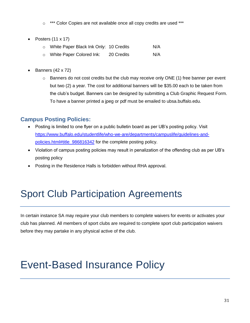\*\*\* Color Copies are not available once all copy credits are used \*\*\*

- Posters (11 x 17)
	- o White Paper Black Ink Only: 10 Credits N/A
	- o White Paper Colored Ink: 20 Credits N/A
- Banners (42 x 72)
	- $\circ$  Banners do not cost credits but the club may receive only ONE (1) free banner per event but two (2) a year. The cost for additional banners will be \$35.00 each to be taken from the club's budget. Banners can be designed by submitting a Club Graphic Request Form. To have a banner printed a jpeg or pdf must be emailed to ubsa.buffalo.edu.

## **Campus Posting Policies:**

- Posting is limited to one flyer on a public bulletin board as per UB's posting policy. Visit [https://www.buffalo.edu/studentlife/who-we-are/departments/campuslife/guidelines-and](https://www.buffalo.edu/studentlife/who-we-are/departments/campuslife/guidelines-and-policies.html#title_986816342)[policies.html#title\\_986816342](https://www.buffalo.edu/studentlife/who-we-are/departments/campuslife/guidelines-and-policies.html#title_986816342) for the complete posting policy.
- Violation of campus posting policies may result in penalization of the offending club as per UB's posting policy
- <span id="page-31-0"></span>• Posting in the Residence Halls is forbidden without RHA approval.

## Sport Club Participation Agreements

In certain instance SA may require your club members to complete waivers for events or activates your club has planned. All members of sport clubs are required to complete sport club participation waivers before they may partake in any physical active of the club.

## <span id="page-31-1"></span>Event-Based Insurance Policy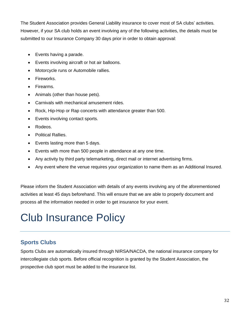The Student Association provides General Liability insurance to cover most of SA clubs' activities. However, if your SA club holds an event involving any of the following activities, the details must be submitted to our Insurance Company 30 days prior in order to obtain approval:

- Events having a parade.
- Events involving aircraft or hot air balloons.
- Motorcycle runs or Automobile rallies.
- Fireworks.
- Firearms.
- Animals (other than house pets).
- Carnivals with mechanical amusement rides.
- Rock, Hip-Hop or Rap concerts with attendance greater than 500.
- Events involving contact sports.
- Rodeos.
- Political Rallies.
- Events lasting more than 5 days.
- Events with more than 500 people in attendance at any one time.
- Any activity by third party telemarketing, direct mail or internet advertising firms.
- Any event where the venue requires your organization to name them as an Additional Insured.

Please inform the Student Association with details of any events involving any of the aforementioned activities at least 45 days beforehand. This will ensure that we are able to properly document and process all the information needed in order to get insurance for your event.

## <span id="page-32-0"></span>Club Insurance Policy

## **Sports Clubs**

Sports Clubs are automatically insured through NIRSA/NACDA, the national insurance company for intercollegiate club sports. Before official recognition is granted by the Student Association, the prospective club sport must be added to the insurance list.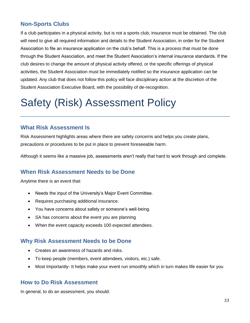## **Non-Sports Clubs**

If a club participates in a physical activity, but is not a sports club, insurance must be obtained. The club will need to give all required information and details to the Student Association, in order for the Student Association to file an insurance application on the club's behalf. This is a process that must be done through the Student Association, and meet the Student Association's internal insurance standards. If the club desires to change the amount of physical activity offered, or the specific offerings of physical activities, the Student Association must be immediately notified so the insurance application can be updated. Any club that does not follow this policy will face disciplinary action at the discretion of the Student Association Executive Board, with the possibility of de-recognition.

## <span id="page-33-0"></span>Safety (Risk) Assessment Policy

#### **What Risk Assessment Is**

Risk Assessment highlights areas where there are safety concerns and helps you create plans, precautions or procedures to be put in place to prevent foreseeable harm.

Although it seems like a massive job, assessments aren't really that hard to work through and complete.

#### **When Risk Assessment Needs to be Done**

Anytime there is an event that:

- Needs the input of the University's Major Event Committee.
- Requires purchasing additional insurance.
- You have concerns about safety or someone's well-being.
- SA has concerns about the event you are planning
- When the event capacity exceeds 100 expected attendees.

#### **Why Risk Assessment Needs to be Done**

- Creates an awareness of hazards and risks.
- To keep people (members, event attendees, visitors, etc.) safe.
- Most Importantly- It helps make your event run smoothly which in turn makes life easier for you

#### **How to Do Risk Assessment**

In general, to do an assessment, you should: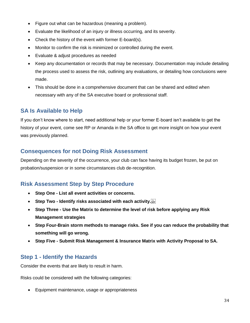- Figure out what can be hazardous (meaning a problem).
- Evaluate the likelihood of an injury or illness occurring, and its severity.
- Check the history of the event with former E-board(s).
- Monitor to confirm the risk is minimized or controlled during the event.
- Evaluate & adjust procedures as needed
- Keep any documentation or records that may be necessary. Documentation may include detailing the process used to assess the risk, outlining any evaluations, or detailing how conclusions were made.
- This should be done in a comprehensive document that can be shared and edited when necessary with any of the SA executive board or professional staff.

#### **SA Is Available to Help**

If you don't know where to start, need additional help or your former E-board isn't available to get the history of your event, come see RP or Amanda in the SA office to get more insight on how your event was previously planned.

#### **Consequences for not Doing Risk Assessment**

Depending on the severity of the occurrence, your club can face having its budget frozen, be put on probation/suspension or in some circumstances club de-recognition.

#### **Risk Assessment Step by Step Procedure**

- **Step One - List all event activities or concerns.**
- **Step Two - Identify risks associated with each activity.**
- **Step Three - Use the Matrix to determine the level of risk before applying any Risk Management strategies**
- **Step Four-Brain storm methods to manage risks. See if you can reduce the probability that something will go wrong.**
- **Step Five - Submit Risk Management & Insurance Matrix with Activity Proposal to SA.**

#### **Step 1 - Identify the Hazards**

Consider the events that are likely to result in harm.

Risks could be considered with the following categories:

• Equipment maintenance, usage or appropriateness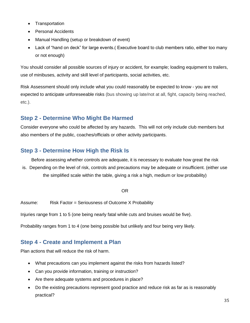- Transportation
- Personal Accidents
- Manual Handling (setup or breakdown of event)
- Lack of "hand on deck" for large events.( Executive board to club members ratio, either too many or not enough)

You should consider all possible sources of injury or accident, for example; loading equipment to trailers, use of minibuses, activity and skill level of participants, social activities, etc.

Risk Assessment should only include what you could reasonably be expected to know - you are not expected to anticipate unforeseeable risks (bus showing up late/not at all, fight, capacity being reached, etc.).

### **Step 2 - Determine Who Might Be Harmed**

Consider everyone who could be affected by any hazards. This will not only include club members but also members of the public, coaches/officials or other activity participants.

### **Step 3 - Determine How High the Risk Is**

Before assessing whether controls are adequate, it is necessary to evaluate how great the risk is. Depending on the level of risk, controls and precautions may be adequate or insufficient. (either use the simplified scale within the table, giving a risk a high, medium or low probability)

#### OR

Assume: Risk Factor = Seriousness of Outcome X Probability

Injuries range from 1 to 5 (one being nearly fatal while cuts and bruises would be five).

Probability ranges from 1 to 4 (one being possible but unlikely and four being very likely.

#### **Step 4 - Create and Implement a Plan**

Plan actions that will reduce the risk of harm.

- What precautions can you implement against the risks from hazards listed?
- Can you provide information, training or instruction?
- Are there adequate systems and procedures in place?
- Do the existing precautions represent good practice and reduce risk as far as is reasonably practical?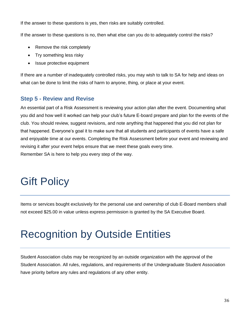If the answer to these questions is yes, then risks are suitably controlled.

If the answer to these questions is no, then what else can you do to adequately control the risks?

- Remove the risk completely
- Try something less risky
- Issue protective equipment

If there are a number of inadequately controlled risks, you may wish to talk to SA for help and ideas on what can be done to limit the risks of harm to anyone, thing, or place at your event.

### **Step 5 - Review and Revise**

An essential part of a Risk Assessment is reviewing your action plan after the event. Documenting what you did and how well it worked can help your club's future E-board prepare and plan for the events of the club. You should review, suggest revisions, and note anything that happened that you did not plan for that happened. Everyone's goal it to make sure that all students and participants of events have a safe and enjoyable time at our events. Completing the Risk Assessment before your event and reviewing and revising it after your event helps ensure that we meet these goals every time. Remember SA is here to help you every step of the way.

## <span id="page-36-0"></span>Gift Policy

Items or services bought exclusively for the personal use and ownership of club E-Board members shall not exceed \$25.00 in value unless express permission is granted by the SA Executive Board.

## <span id="page-36-1"></span>Recognition by Outside Entities

<span id="page-36-2"></span>Student Association clubs may be recognized by an outside organization with the approval of the Student Association. All rules, regulations, and requirements of the Undergraduate Student Association have priority before any rules and regulations of any other entity.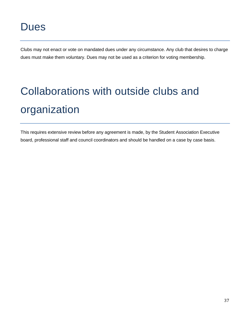Clubs may not enact or vote on mandated dues under any circumstance. Any club that desires to charge dues must make them voluntary. Dues may not be used as a criterion for voting membership.

# <span id="page-37-0"></span>Collaborations with outside clubs and organization

This requires extensive review before any agreement is made, by the Student Association Executive board, professional staff and council coordinators and should be handled on a case by case basis.